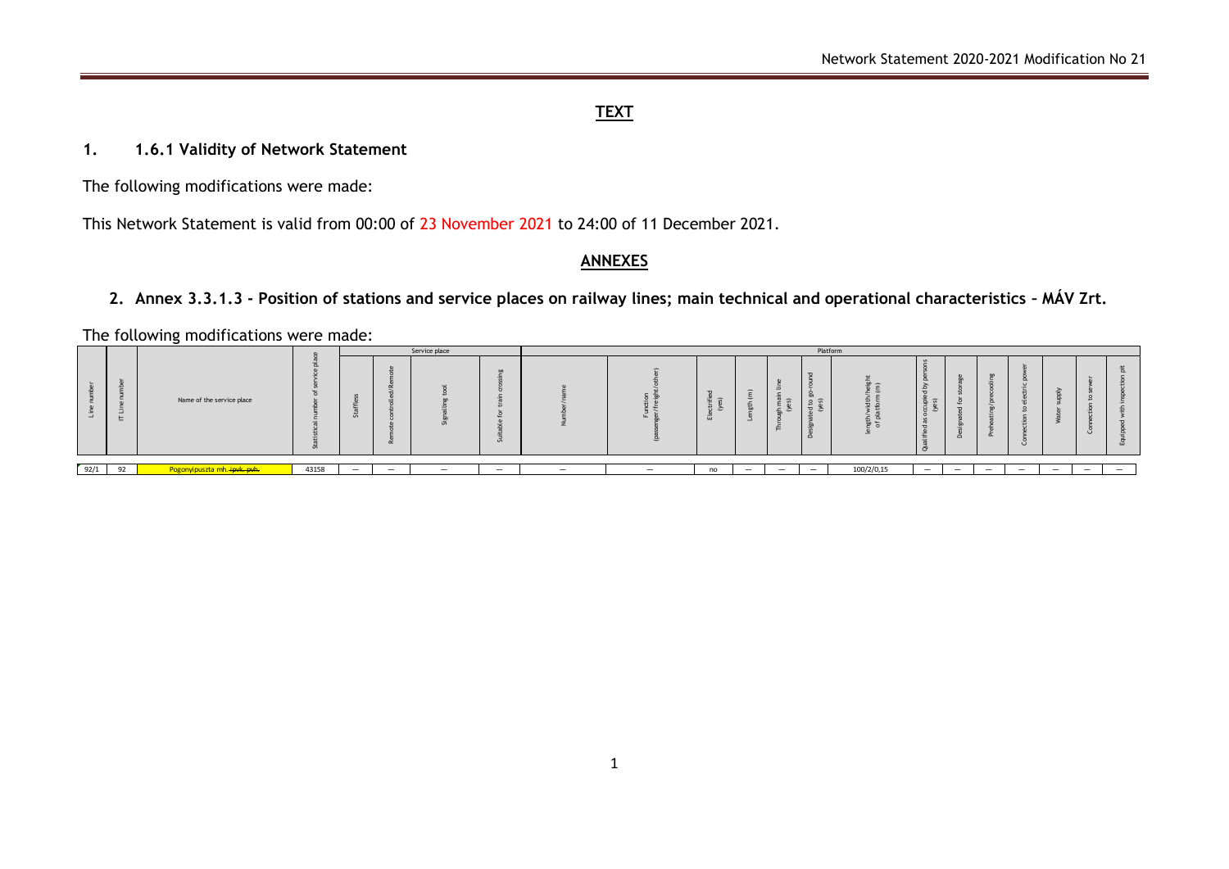### **TEXT**

#### **1. 1.6.1 Validity of Network Statement**

The following modifications were made:

This Network Statement is valid from 00:00 of 23 November 2021 to 24:00 of 11 December 2021.

#### **ANNEXES**

## **2. Annex 3.3.1.3 - Position of stations and service places on railway lines; main technical and operational characteristics – MÁV Zrt.**

The following modifications were made:

|      |     |                              |       | Service place            |                          |                          | Platform                 |                                 |                          |    |                          |                                    |                                               |                |                          |         |                          |                          |                          |                          |
|------|-----|------------------------------|-------|--------------------------|--------------------------|--------------------------|--------------------------|---------------------------------|--------------------------|----|--------------------------|------------------------------------|-----------------------------------------------|----------------|--------------------------|---------|--------------------------|--------------------------|--------------------------|--------------------------|
|      | $-$ | Name of the service place    | . in  |                          |                          | Ù                        |                          |                                 |                          | -2 | $\overline{\phantom{0}}$ | $\overline{\phantom{0}}$<br>$\geq$ | $\overline{\phantom{a}}$<br>$\mathbf{L}$<br>≏ | $\overline{ }$ | $\sim$<br>€              | $\circ$ |                          |                          |                          |                          |
|      |     |                              |       |                          |                          |                          |                          |                                 |                          |    |                          |                                    |                                               |                |                          |         |                          |                          |                          |                          |
| 92/1 | 92  | Pogonyipuszta mh. ipvk. pvh. | 43158 | $\overline{\phantom{0}}$ | $\overline{\phantom{0}}$ | $\overline{\phantom{0}}$ | $\overline{\phantom{0}}$ | $\hspace{0.1mm}-\hspace{0.1mm}$ | $\overline{\phantom{0}}$ | no | $\overline{\phantom{0}}$ |                                    | $\overline{\phantom{0}}$                      | 100/2/0,15     | $\overline{\phantom{a}}$ |         | $\overline{\phantom{0}}$ | $\overline{\phantom{0}}$ | $\overline{\phantom{0}}$ | $\overline{\phantom{0}}$ |